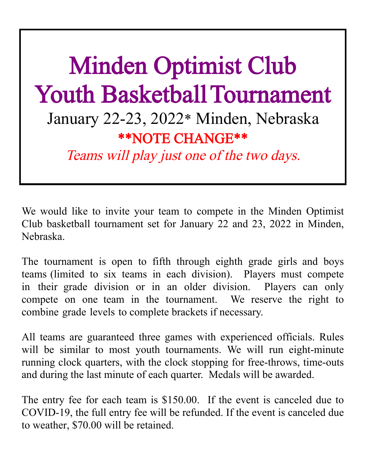## Minden Optimist Club Youth Basketball Tournament January 22-23, 2022\* Minden, Nebraska \*\*NOTE CHANGE\*\* Teams will play just one of the two days.

We would like to invite your team to compete in the Minden Optimist Club basketball tournament set for January 22 and 23, 2022 in Minden, Nebraska.

The tournament is open to fifth through eighth grade girls and boys teams (limited to six teams in each division). Players must compete in their grade division or in an older division. Players can only compete on one team in the tournament. We reserve the right to combine grade levels to complete brackets if necessary.

All teams are guaranteed three games with experienced officials. Rules will be similar to most youth tournaments. We will run eight-minute running clock quarters, with the clock stopping for free-throws, time-outs and during the last minute of each quarter. Medals will be awarded.

The entry fee for each team is \$150.00. If the event is canceled due to COVID-19, the full entry fee will be refunded. If the event is canceled due to weather, \$70.00 will be retained.